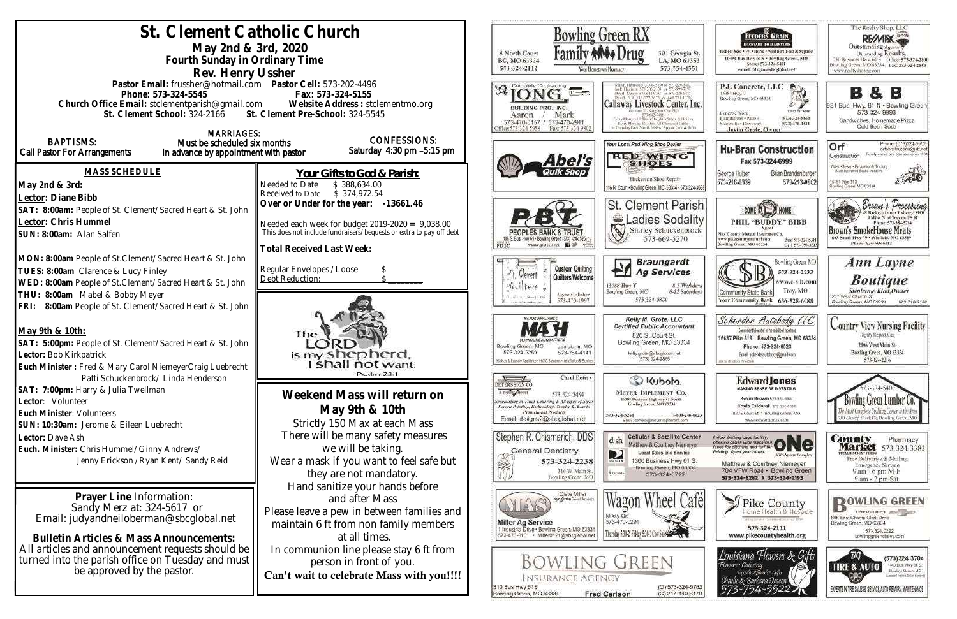| St. Clement Catholic Church<br>May 2nd & 3rd, 2020<br>Fourth Sunday in Ordinary Time                                                                                                                                                                             | <b>Bowling Green RX</b><br>8 North Court<br>301 Georgia St.<br>BG, MO 63334<br>LA, MO 63353<br>573-324-2112<br>573-754-4551<br>tour Hometown Pharmacy                                                                                                                                                                               |                                                                                                                                                                                                                                                                                                                                                                                                                                 |
|------------------------------------------------------------------------------------------------------------------------------------------------------------------------------------------------------------------------------------------------------------------|-------------------------------------------------------------------------------------------------------------------------------------------------------------------------------------------------------------------------------------------------------------------------------------------------------------------------------------|---------------------------------------------------------------------------------------------------------------------------------------------------------------------------------------------------------------------------------------------------------------------------------------------------------------------------------------------------------------------------------------------------------------------------------|
| Rev. Henry Ussher<br>Pastor Email: frussher@hotmail.com    Pastor Cell: 573-202-4496<br>Phone: 573-324-5545<br>Church Office Email: stclementparish@gmail.com Website Address : stclementmo.org<br>St. Clement School: 324-2166 St. Clement Pre-School: 324-5545 | Complete Contracting<br>Callaway Livestock Center, Inc.<br>BUILDING PRO., INC.<br>Mark<br>Aaron<br>Nery Manday 10:00am Staughter Steers & Heifers<br>573-470-0157 / 573-470-2911<br>livery Mending 12: Mats All Classes of Cable<br>14 Thursday Fact: Munth 6:00ver Special Cow & Hull<br>Office: 573-324-5958<br>Fax: 573-324-9802 |                                                                                                                                                                                                                                                                                                                                                                                                                                 |
| <b>MARRIAGES:</b><br><b>BAPTISMS:</b><br>Must be scheduled six months<br>Call Pastor For Arrangements<br>in advance by appointment with pastor                                                                                                                   | <b>CONFESSIONS:</b><br>Saturday 4:30 pm -5:15 pm                                                                                                                                                                                                                                                                                    | Your Local Red Wing Shoe Dealer<br><b>RED WING</b><br>Abel's<br><b>SHOES</b>                                                                                                                                                                                                                                                                                                                                                    |
| <b>MASS SCHEDULE</b><br>May 2nd & 3rd:                                                                                                                                                                                                                           | Your Gifts to God & Parish:<br>Needed to Date<br>\$388,634.00<br>\$374,972.54<br>Received to Date                                                                                                                                                                                                                                   | Hickerson Shoe Repair<br>116 N. Court . Sowling Green, MO 63334 . 573-324-3688                                                                                                                                                                                                                                                                                                                                                  |
| Lector: Diane Bibb<br>SAT: 8:00am: People of St. Clement/Sacred Heart & St. John<br>Lector: Chris Hummel<br>SUN: 8:00am: Alan Salfen                                                                                                                             | Over or Under for the year: -13661.46<br>Needed each week for budget $2019-2020 = 9,038.00$<br>This does not include fundraisers/bequests or extra to pay off debt                                                                                                                                                                  | St. Clement Parish<br><b>Ladies Sodality</b><br>Shirley Schuckenbrock<br>573-669-5270<br>06 S. Bus, Hwy 61 - Bowling Green (573) 324-2525./.                                                                                                                                                                                                                                                                                    |
| MON: 8:00am People of St.Clement/Sacred Heart & St. John<br>TUES: 8:00am Clarence & Lucy Finley<br>WED: 8:00am People of St.Clement/Sacred Heart & St. John<br>THU: 8:00am Mabel & Bobby Meyer<br>FRI: 8:00am People of St. Clement/Sacred Heart & St. John      | <b>Total Received Last Week:</b><br>Regular Envelopes / Loose<br>Debt Reduction:                                                                                                                                                                                                                                                    | www.pbtc.net <b>El</b><br>FDIC<br><b>Braungardt</b><br><b>Custom Quilting</b><br><b>Ag Services</b><br>Verret<br>Quilters Welcome<br>13688 Hwy Y<br>8-5 Weekdays<br>ters<br>Bowling Green, MO<br>8-12 Saturdays<br>Joyce Gollaher<br>$-21 - 1 - 12 - 1 - 12 -$<br>573-324-6820<br>573-470-1997                                                                                                                                  |
| May 9th & 10th:<br>SAT: 5:00pm: People of St. Clement/Sacred Heart & St. John<br>Lector: Bob Kirkpatrick<br>Euch Minister: Fred & Mary Carol NiemeyerCraig Luebrecht                                                                                             | The<br>is my shepherd.<br>I shall not want.<br>Psalm 23.1                                                                                                                                                                                                                                                                           | MAJOR APPLIANCE<br>Kelly M. Grote, LLC<br><b>Certified Public Accountant</b><br>820 S. Court St.<br>Bowling Green, MO 63334<br>Bowling Green, MO<br>Louisiana, MC<br>573-324-2259<br>573-754-4141<br>kelly.grote@sbcglobai.net<br>(573) 324-9885<br>Gober & Laundry Appliance - HVAC Systems - Installation & Service                                                                                                           |
| Patti Schuckenbrock/ Linda Henderson<br>SAT: 7:00pm: Harry & Julia Twellman<br>Lector: Volunteer<br>Euch Minister: Volunteers<br>SUN: 10:30am: Jerome & Eileen Luebrecht                                                                                         | Weekend Mass will return on<br>May 9th & 10th<br>Strictly 150 Max at each Mass                                                                                                                                                                                                                                                      | <b>Carol Deters</b><br>Nubota.<br><b>ETERS SIGN CO</b><br>A T-SNORT GROPPE<br><b>MEYER IMPLEMENT CO.</b><br>573-324-5484<br>16398 Business Highway 61 North<br>periodizing in Truck Lettering & All types of Signs<br>Bowling Green, MO 63334<br>Screen Printing, Embroidery, Tropics & Awards.<br>Pramotional Products<br>573-324-5261<br>1-800-246-0623<br>Email: d-signs2@sbcglobal.net<br>Email: service@meyerimplement.com |
| Lector: Dave Ash<br>Euch. Minister: Chris Hummel/Ginny Andrews/<br>Jenny Erickson / Ryan Kent/ Sandy Reid                                                                                                                                                        | There will be many safety measures<br>we will be taking.<br>Wear a mask if you want to feel safe but<br>they are not mandatory.                                                                                                                                                                                                     | Stephen R. Chismarich, DDS<br><b>Cellular &amp; Satellite Center</b><br>d sh<br>Matthew & Courtney Niemeyer<br><b>General Dentistry</b><br><b>Local Sales and Service</b><br>D<br>1300 Business Hwy 61 S.<br>573-324-2238<br>BIRECTY<br>Bowling Green, MO 63334<br>310 W. Main St.<br>Pittone<br>573-324-3722<br>Bowling Green, MO                                                                                              |
| Prayer Line Information:<br>Sandy Merz at: 324-5617 or<br>Email: judyandneiloberman@sbcglobal.net                                                                                                                                                                | Hand sanitize your hands before<br>and after Mass<br>Please leave a pew in between families and<br>maintain 6 ft from non family members                                                                                                                                                                                            | Clete Miller<br>Wagon Wheel Cafel<br>Syngenta Soud Adviso<br>Missy Orl<br>573-470-0291<br><b>Miller Ag Service</b><br>1 Industrial Drive . Bowling Green, MO 63334<br>Thursday 5:34-2-Friday 5:34-7 Cove Sales Co                                                                                                                                                                                                               |
| Bulletin Articles & Mass Announcements:<br>All articles and announcement requests should be<br>turned into the parish office on Tuesday and must<br>be approved by the pastor.                                                                                   | at all times.<br>In communion line please stay 6 ft from<br>person in front of you.<br>Can't wait to celebrate Mass with you!!!!                                                                                                                                                                                                    | 573-470-0101 · Miller0121@sbcglobal.net<br><b>BOWLING GREEN</b><br><b>INSURANCE AGENCY</b><br>(O) 573-324-5762<br>310 Bus Hwy 61S<br>Bowling Green, MO 63334<br><b>Fred Carlson</b><br>(C) 217-440-6170                                                                                                                                                                                                                         |